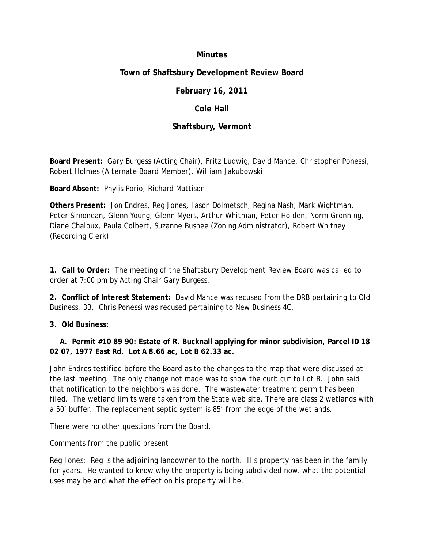#### **Minutes**

# **Town of Shaftsbury Development Review Board**

# **February 16, 2011**

### **Cole Hall**

# **Shaftsbury, Vermont**

**Board Present:** Gary Burgess (Acting Chair), Fritz Ludwig, David Mance, Christopher Ponessi, Robert Holmes (Alternate Board Member), William Jakubowski

**Board Absent:** Phylis Porio, Richard Mattison

**Others Present:** Jon Endres, Reg Jones, Jason Dolmetsch, Regina Nash, Mark Wightman, Peter Simonean, Glenn Young, Glenn Myers, Arthur Whitman, Peter Holden, Norm Gronning, Diane Chaloux, Paula Colbert, Suzanne Bushee (Zoning Administrator), Robert Whitney (Recording Clerk)

**1. Call to Order:** The meeting of the Shaftsbury Development Review Board was called to order at 7:00 pm by Acting Chair Gary Burgess.

**2. Conflict of Interest Statement:** David Mance was recused from the DRB pertaining to Old Business, 3B. Chris Ponessi was recused pertaining to New Business 4C.

**3. Old Business:**

**A. Permit #10 89 90: Estate of R. Bucknall applying for minor subdivision, Parcel ID 18 02 07, 1977 East Rd. Lot A 8.66 ac, Lot B 62.33 ac.**

John Endres testified before the Board as to the changes to the map that were discussed at the last meeting. The only change not made was to show the curb cut to Lot B. John said that notification to the neighbors was done. The wastewater treatment permit has been filed. The wetland limits were taken from the State web site. There are class 2 wetlands with a 50' buffer. The replacement septic system is 85' from the edge of the wetlands.

There were no other questions from the Board.

Comments from the public present:

Reg Jones: Reg is the adjoining landowner to the north. His property has been in the family for years. He wanted to know why the property is being subdivided now, what the potential uses may be and what the effect on his property will be.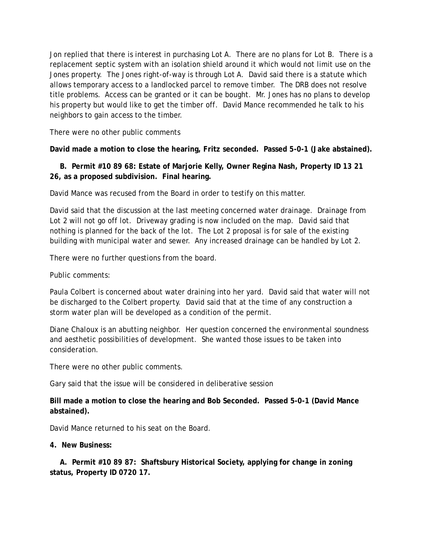Jon replied that there is interest in purchasing Lot A. There are no plans for Lot B. There is a replacement septic system with an isolation shield around it which would not limit use on the Jones property. The Jones right-of-way is through Lot A. David said there is a statute which allows temporary access to a landlocked parcel to remove timber. The DRB does not resolve title problems. Access can be granted or it can be bought. Mr. Jones has no plans to develop his property but would like to get the timber off. David Mance recommended he talk to his neighbors to gain access to the timber.

There were no other public comments

**David made a motion to close the hearing, Fritz seconded. Passed 5-0-1 (Jake abstained).**

**B. Permit #10 89 68: Estate of Marjorie Kelly, Owner Regina Nash, Property ID 13 21 26, as a proposed subdivision. Final hearing.**

David Mance was recused from the Board in order to testify on this matter.

David said that the discussion at the last meeting concerned water drainage. Drainage from Lot 2 will not go off lot. Driveway grading is now included on the map. David said that nothing is planned for the back of the lot. The Lot 2 proposal is for sale of the existing building with municipal water and sewer. Any increased drainage can be handled by Lot 2.

There were no further questions from the board.

Public comments:

Paula Colbert is concerned about water draining into her yard. David said that water will not be discharged to the Colbert property. David said that at the time of any construction a storm water plan will be developed as a condition of the permit.

Diane Chaloux is an abutting neighbor. Her question concerned the environmental soundness and aesthetic possibilities of development. She wanted those issues to be taken into consideration.

There were no other public comments.

Gary said that the issue will be considered in deliberative session

**Bill made a motion to close the hearing and Bob Seconded. Passed 5-0-1 (David Mance abstained).**

David Mance returned to his seat on the Board.

**4. New Business:**

**A. Permit #10 89 87: Shaftsbury Historical Society, applying for change in zoning status, Property ID 0720 17.**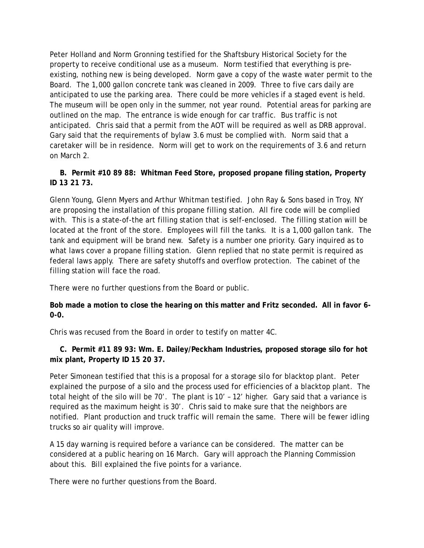Peter Holland and Norm Gronning testified for the Shaftsbury Historical Society for the property to receive conditional use as a museum. Norm testified that everything is preexisting, nothing new is being developed. Norm gave a copy of the waste water permit to the Board. The 1,000 gallon concrete tank was cleaned in 2009. Three to five cars daily are anticipated to use the parking area. There could be more vehicles if a staged event is held. The museum will be open only in the summer, not year round. Potential areas for parking are outlined on the map. The entrance is wide enough for car traffic. Bus traffic is not anticipated. Chris said that a permit from the AOT will be required as well as DRB approval. Gary said that the requirements of bylaw 3.6 must be complied with. Norm said that a caretaker will be in residence. Norm will get to work on the requirements of 3.6 and return on March 2.

# **B. Permit #10 89 88: Whitman Feed Store, proposed propane filing station, Property ID 13 21 73.**

Glenn Young, Glenn Myers and Arthur Whitman testified. John Ray & Sons based in Troy, NY are proposing the installation of this propane filling station. All fire code will be complied with. This is a state-of-the art filling station that is self-enclosed. The filling station will be located at the front of the store. Employees will fill the tanks. It is a 1,000 gallon tank. The tank and equipment will be brand new. Safety is a number one priority. Gary inquired as to what laws cover a propane filling station. Glenn replied that no state permit is required as federal laws apply. There are safety shutoffs and overflow protection. The cabinet of the filling station will face the road.

There were no further questions from the Board or public.

**Bob made a motion to close the hearing on this matter and Fritz seconded. All in favor 6- 0-0.**

Chris was recused from the Board in order to testify on matter 4C.

**C. Permit #11 89 93: Wm. E. Dailey/Peckham Industries, proposed storage silo for hot mix plant, Property ID 15 20 37.**

Peter Simonean testified that this is a proposal for a storage silo for blacktop plant. Peter explained the purpose of a silo and the process used for efficiencies of a blacktop plant. The total height of the silo will be 70'. The plant is 10' – 12' higher. Gary said that a variance is required as the maximum height is 30'. Chris said to make sure that the neighbors are notified. Plant production and truck traffic will remain the same. There will be fewer idling trucks so air quality will improve.

A 15 day warning is required before a variance can be considered. The matter can be considered at a public hearing on 16 March. Gary will approach the Planning Commission about this. Bill explained the five points for a variance.

There were no further questions from the Board.